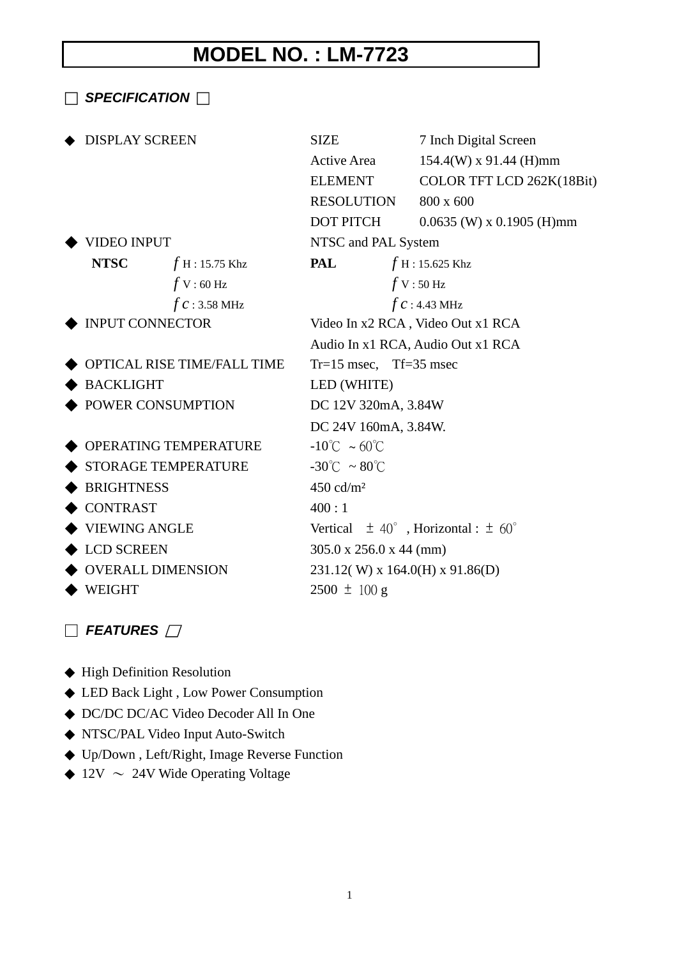## **MODEL NO. : LM-7723**

□ *SPECIFICATION* □ DISPLAY SCREEN SIZE 7 Inch Digital Screen Active Area 154.4(W) x 91.44 (H)mm ELEMENT COLOR TFT LCD 262K(18Bit) RESOLUTION 800 x 600 DOT PITCH 0.0635 (W) x 0.1905 (H)mm ◆ VIDEO INPUT NTSC and PAL System **NTSC** *f* H : 15.75 Khz **PAL** *f* H : 15.625 Khz *f* V : 60 Hz *f* V : 50 Hz *f c* : 3.58 MHz *f c* : 4.43 MHz ◆ INPUT CONNECTOR Video In x2 RCA , Video Out x1 RCA Audio In x1 RCA, Audio Out x1 RCA  $\blacklozenge$  OPTICAL RISE TIME/FALL TIME  $Tr=15$  msec, Tf=35 msec ◆ BACKLIGHT LED (WHITE) ◆ POWER CONSUMPTION DC 12V 320mA, 3.84W DC 24V 160mA, 3.84W.  $\triangle$  OPERATING TEMPERATURE  $-10^{\circ}$ C ~ 60 $^{\circ}$ C  $\blacklozenge$  STORAGE TEMPERATURE  $-30^{\circ}\text{C} \sim 80^{\circ}\text{C}$  $\triangle$  BRIGHTNESS 450 cd/m<sup>2</sup>  $\bullet$  CONTRAST 400:1 ◆ VIEWING ANGLE Vertical ± 40∘, Horizontal : ± 60∘ ◆ LCD SCREEN 305.0 x 256.0 x 44 (mm)  $\blacklozenge$  OVERALL DIMENSION 231.12(W) x 164.0(H) x 91.86(D)  $\blacklozenge$  WEIGHT 2500  $\pm$  100 g

## □ *FEATURES* □

 High Definition Resolution LED Back Light , Low Power Consumption DC/DC DC/AC Video Decoder All In One NTSC/PAL Video Input Auto-Switch Up/Down , Left/Right, Image Reverse Function  $12V \sim 24V$  Wide Operating Voltage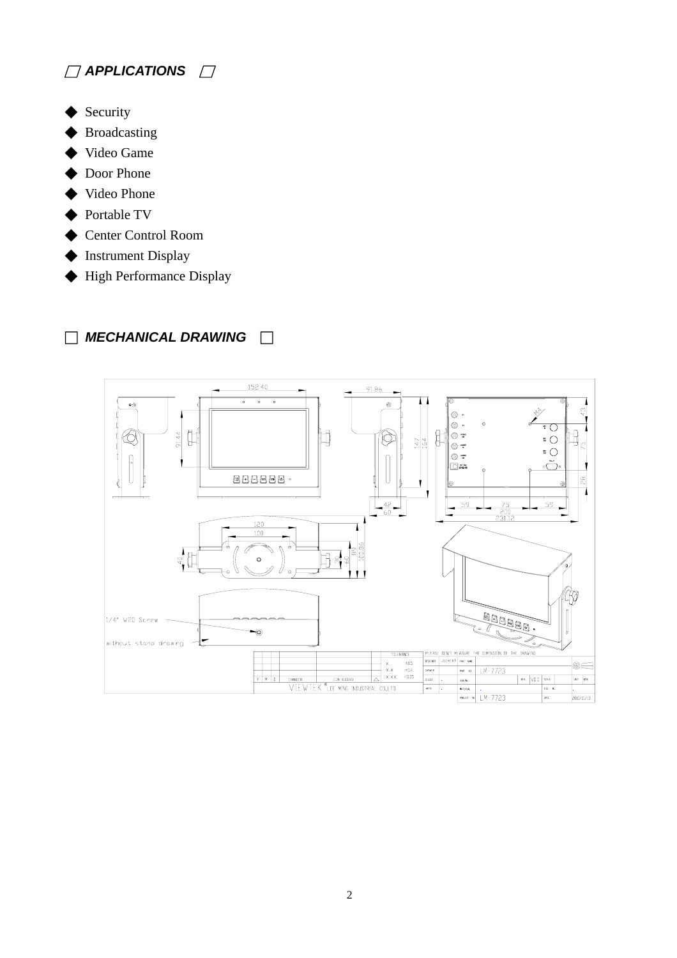

- ◆ Security
- **Broadcasting**
- ◆ Video Game
- ◆ Door Phone
- Video Phone
- ◆ Portable TV
- ◆ Center Control Room
- ◆ Instrument Display
- ◆ High Performance Display

## □ *MECHANICAL DRAWING* □